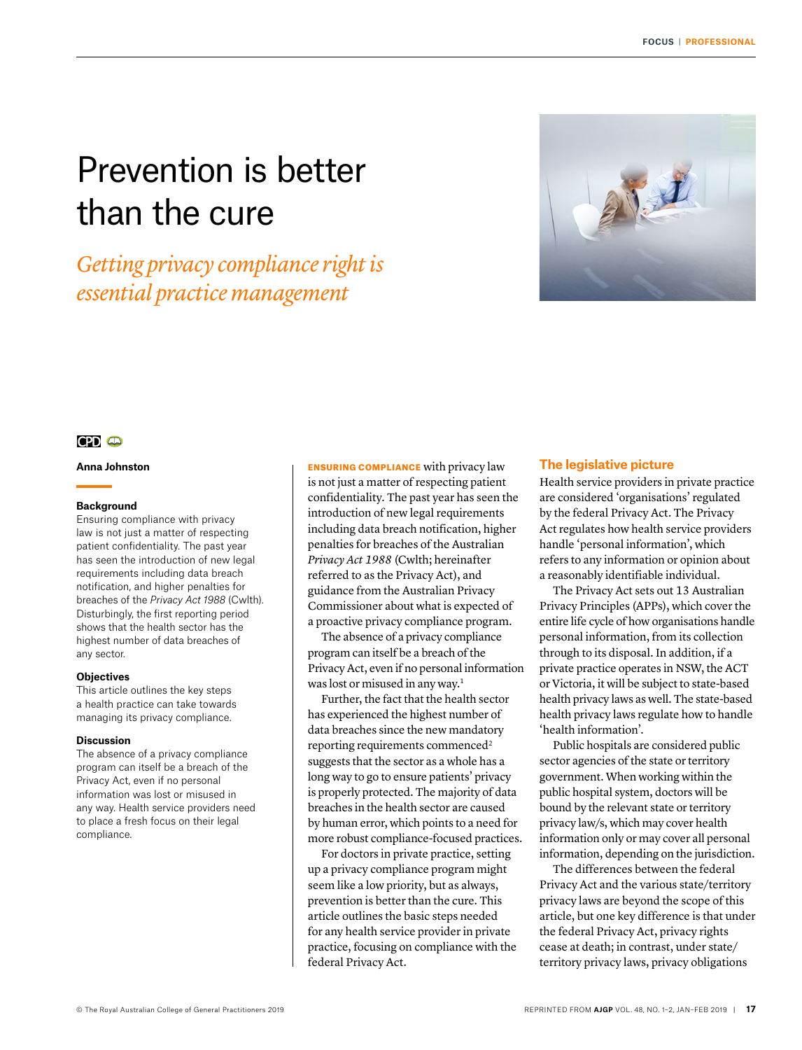# Prevention is better than the cure

# *Getting privacy compliance right is essential practice management*



# $CD<sub>o</sub>$

**Anna Johnston**

#### **Background**

Ensuring compliance with privacy law is not just a matter of respecting patient confidentiality. The past year has seen the introduction of new legal requirements including data breach notification, and higher penalties for breaches of the *Privacy Act 1988* (Cwlth). Disturbingly, the first reporting period shows that the health sector has the highest number of data breaches of any sector.

# **Objectives**

This article outlines the key steps a health practice can take towards managing its privacy compliance.

## **Discussion**

The absence of a privacy compliance program can itself be a breach of the Privacy Act, even if no personal information was lost or misused in any way. Health service providers need to place a fresh focus on their legal compliance.

ENSURING COMPLIANCE with privacy law is not just a matter of respecting patient confidentiality. The past year has seen the introduction of new legal requirements including data breach notification, higher penalties for breaches of the Australian *Privacy Act 1988* (Cwlth; hereinafter referred to as the Privacy Act), and guidance from the Australian Privacy Commissioner about what is expected of a proactive privacy compliance program.

The absence of a privacy compliance program can itself be a breach of the Privacy Act, even if no personal information was lost or misused in any way.<sup>1</sup>

Further, the fact that the health sector has experienced the highest number of data breaches since the new mandatory reporting requirements commenced<sup>2</sup> suggests that the sector as a whole has a long way to go to ensure patients' privacy is properly protected. The majority of data breaches in the health sector are caused by human error, which points to a need for more robust compliance-focused practices.

For doctors in private practice, setting up a privacy compliance program might seem like a low priority, but as always, prevention is better than the cure. This article outlines the basic steps needed for any health service provider in private practice, focusing on compliance with the federal Privacy Act.

# **The legislative picture**

Health service providers in private practice are considered 'organisations' regulated by the federal Privacy Act. The Privacy Act regulates how health service providers handle 'personal information', which refers to any information or opinion about a reasonably identifiable individual.

The Privacy Act sets out 13 Australian Privacy Principles (APPs), which cover the entire life cycle of how organisations handle personal information, from its collection through to its disposal. In addition, if a private practice operates in NSW, the ACT or Victoria, it will be subject to state-based health privacy laws as well. The state-based health privacy laws regulate how to handle 'health information'.

Public hospitals are considered public sector agencies of the state or territory government. When working within the public hospital system, doctors will be bound by the relevant state or territory privacy law/s, which may cover health information only or may cover all personal information, depending on the jurisdiction.

The differences between the federal Privacy Act and the various state/territory privacy laws are beyond the scope of this article, but one key difference is that under the federal Privacy Act, privacy rights cease at death; in contrast, under state/ territory privacy laws, privacy obligations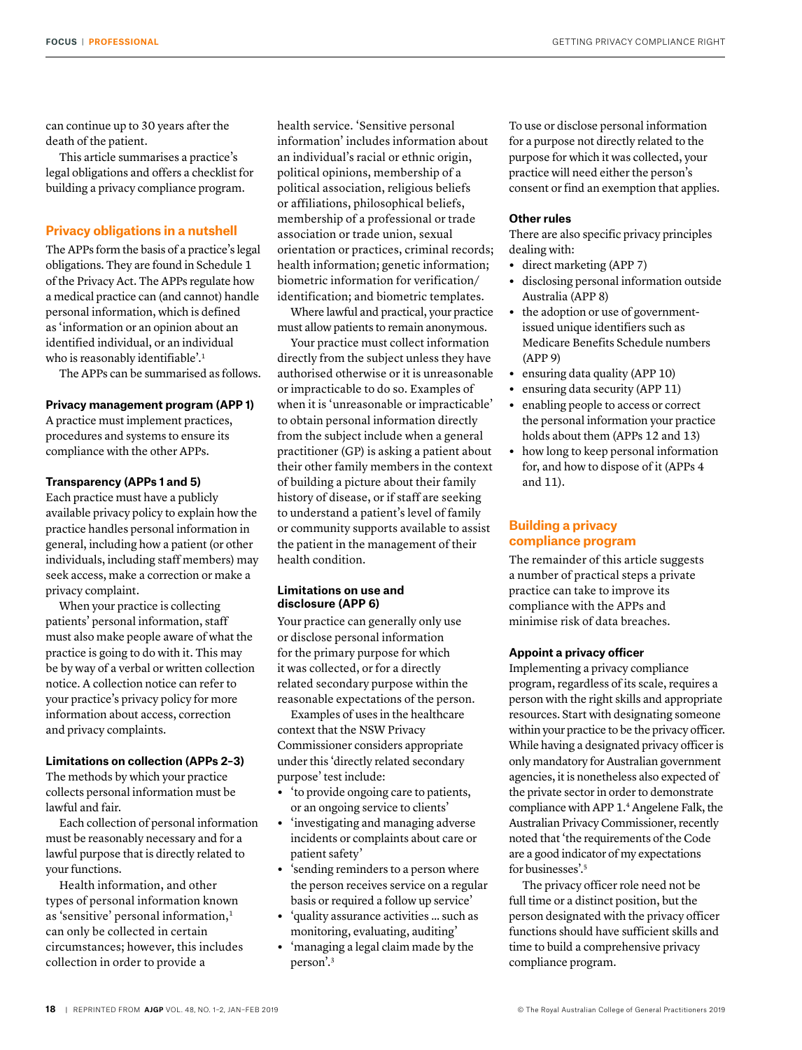can continue up to 30 years after the death of the patient.

This article summarises a practice's legal obligations and offers a checklist for building a privacy compliance program.

# **Privacy obligations in a nutshell**

The APPs form the basis of a practice's legal obligations. They are found in Schedule 1 of the Privacy Act. The APPs regulate how a medical practice can (and cannot) handle personal information, which is defined as 'information or an opinion about an identified individual, or an individual who is reasonably identifiable'.1

The APPs can be summarised as follows.

#### **Privacy management program (APP 1)**

A practice must implement practices, procedures and systems to ensure its compliance with the other APPs.

#### **Transparency (APPs 1 and 5)**

Each practice must have a publicly available privacy policy to explain how the practice handles personal information in general, including how a patient (or other individuals, including staff members) may seek access, make a correction or make a privacy complaint.

When your practice is collecting patients' personal information, staff must also make people aware of what the practice is going to do with it. This may be by way of a verbal or written collection notice. A collection notice can refer to your practice's privacy policy for more information about access, correction and privacy complaints.

# **Limitations on collection (APPs 2–3)**

The methods by which your practice collects personal information must be lawful and fair.

Each collection of personal information must be reasonably necessary and for a lawful purpose that is directly related to your functions.

Health information, and other types of personal information known as 'sensitive' personal information,<sup>1</sup> can only be collected in certain circumstances; however, this includes collection in order to provide a

health service. 'Sensitive personal information' includes information about an individual's racial or ethnic origin, political opinions, membership of a political association, religious beliefs or affiliations, philosophical beliefs, membership of a professional or trade association or trade union, sexual orientation or practices, criminal records; health information; genetic information; biometric information for verification/ identification; and biometric templates.

Where lawful and practical, your practice must allow patients to remain anonymous.

Your practice must collect information directly from the subject unless they have authorised otherwise or it is unreasonable or impracticable to do so. Examples of when it is 'unreasonable or impracticable' to obtain personal information directly from the subject include when a general practitioner (GP) is asking a patient about their other family members in the context of building a picture about their family history of disease, or if staff are seeking to understand a patient's level of family or community supports available to assist the patient in the management of their health condition.

#### **Limitations on use and disclosure (APP 6)**

Your practice can generally only use or disclose personal information for the primary purpose for which it was collected, or for a directly related secondary purpose within the reasonable expectations of the person.

Examples of uses in the healthcare context that the NSW Privacy Commissioner considers appropriate under this 'directly related secondary purpose' test include:

- **•** 'to provide ongoing care to patients, or an ongoing service to clients'
- **•** 'investigating and managing adverse incidents or complaints about care or patient safety'
- **•** 'sending reminders to a person where the person receives service on a regular basis or required a follow up service'
- **•** 'quality assurance activities … such as monitoring, evaluating, auditing'
- **•** 'managing a legal claim made by the person'.3

To use or disclose personal information for a purpose not directly related to the purpose for which it was collected, your practice will need either the person's consent or find an exemption that applies.

# **Other rules**

There are also specific privacy principles dealing with:

- **•** direct marketing (APP 7)
- **•** disclosing personal information outside Australia (APP 8)
- **•** the adoption or use of governmentissued unique identifiers such as Medicare Benefits Schedule numbers (APP 9)
- **•** ensuring data quality (APP 10)
- **•** ensuring data security (APP 11)
- **•** enabling people to access or correct the personal information your practice holds about them (APPs 12 and 13)
- **•** how long to keep personal information for, and how to dispose of it (APPs 4 and 11).

# **Building a privacy compliance program**

The remainder of this article suggests a number of practical steps a private practice can take to improve its compliance with the APPs and minimise risk of data breaches.

#### **Appoint a privacy officer**

Implementing a privacy compliance program, regardless of its scale, requires a person with the right skills and appropriate resources. Start with designating someone within your practice to be the privacy officer. While having a designated privacy officer is only mandatory for Australian government agencies, it is nonetheless also expected of the private sector in order to demonstrate compliance with APP 1.4 Angelene Falk, the Australian Privacy Commissioner, recently noted that 'the requirements of the Code are a good indicator of my expectations for businesses'.<sup>5</sup>

The privacy officer role need not be full time or a distinct position, but the person designated with the privacy officer functions should have sufficient skills and time to build a comprehensive privacy compliance program.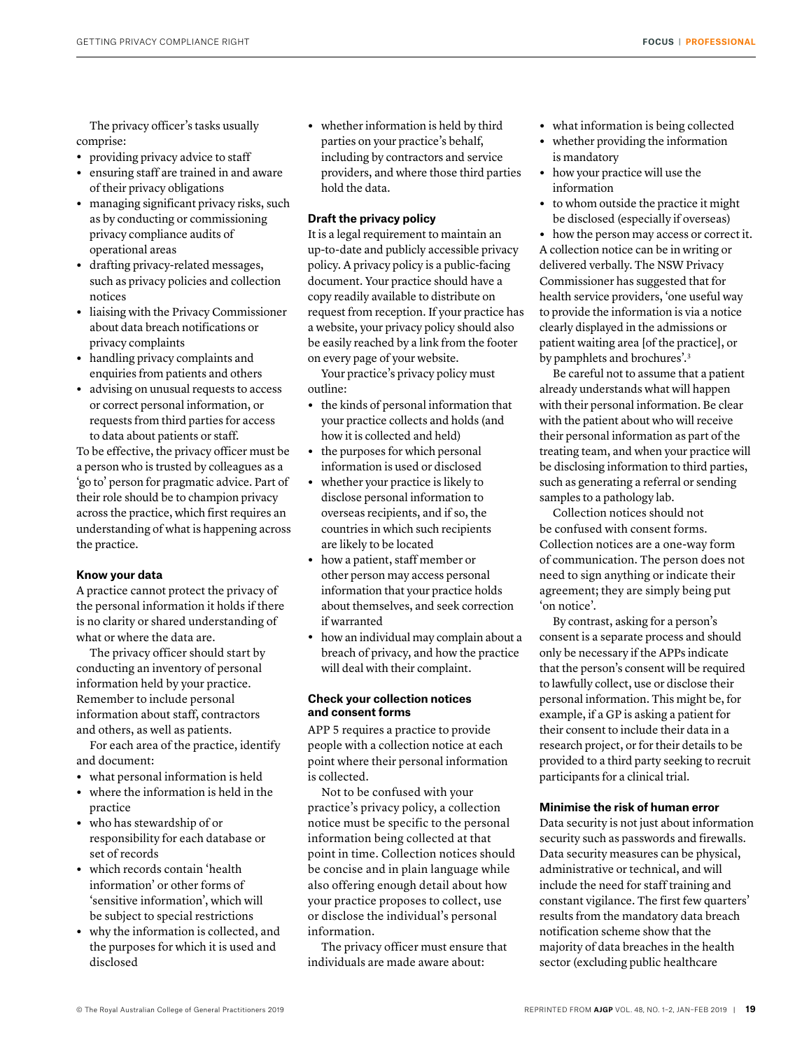The privacy officer's tasks usually comprise:

- **•** providing privacy advice to staff
- **•** ensuring staff are trained in and aware of their privacy obligations
- **•** managing significant privacy risks, such as by conducting or commissioning privacy compliance audits of operational areas
- **•** drafting privacy-related messages, such as privacy policies and collection notices
- **•** liaising with the Privacy Commissioner about data breach notifications or privacy complaints
- **•** handling privacy complaints and enquiries from patients and others
- **•** advising on unusual requests to access or correct personal information, or requests from third parties for access to data about patients or staff.

To be effective, the privacy officer must be a person who is trusted by colleagues as a 'go to' person for pragmatic advice. Part of their role should be to champion privacy across the practice, which first requires an understanding of what is happening across the practice.

# **Know your data**

A practice cannot protect the privacy of the personal information it holds if there is no clarity or shared understanding of what or where the data are.

The privacy officer should start by conducting an inventory of personal information held by your practice. Remember to include personal information about staff, contractors and others, as well as patients.

For each area of the practice, identify and document:

- **•** what personal information is held
- **•** where the information is held in the practice
- **•** who has stewardship of or responsibility for each database or set of records
- **•** which records contain 'health information' or other forms of 'sensitive information', which will be subject to special restrictions
- **•** why the information is collected, and the purposes for which it is used and disclosed

**•** whether information is held by third parties on your practice's behalf, including by contractors and service providers, and where those third parties hold the data.

# **Draft the privacy policy**

It is a legal requirement to maintain an up-to-date and publicly accessible privacy policy. A privacy policy is a public-facing document. Your practice should have a copy readily available to distribute on request from reception. If your practice has a website, your privacy policy should also be easily reached by a link from the footer on every page of your website.

Your practice's privacy policy must outline:

- **•** the kinds of personal information that your practice collects and holds (and how it is collected and held)
- **•** the purposes for which personal information is used or disclosed
- **•** whether your practice is likely to disclose personal information to overseas recipients, and if so, the countries in which such recipients are likely to be located
- **•** how a patient, staff member or other person may access personal information that your practice holds about themselves, and seek correction if warranted
- **•** how an individual may complain about a breach of privacy, and how the practice will deal with their complaint.

# **Check your collection notices and consent forms**

APP 5 requires a practice to provide people with a collection notice at each point where their personal information is collected.

Not to be confused with your practice's privacy policy, a collection notice must be specific to the personal information being collected at that point in time. Collection notices should be concise and in plain language while also offering enough detail about how your practice proposes to collect, use or disclose the individual's personal information.

The privacy officer must ensure that individuals are made aware about:

- **•** what information is being collected
- **•** whether providing the information is mandatory
- **•** how your practice will use the information
- **•** to whom outside the practice it might be disclosed (especially if overseas)
- **•** how the person may access or correct it.

A collection notice can be in writing or delivered verbally. The NSW Privacy Commissioner has suggested that for health service providers, 'one useful way to provide the information is via a notice clearly displayed in the admissions or patient waiting area [of the practice], or by pamphlets and brochures'.3

Be careful not to assume that a patient already understands what will happen with their personal information. Be clear with the patient about who will receive their personal information as part of the treating team, and when your practice will be disclosing information to third parties, such as generating a referral or sending samples to a pathology lab.

Collection notices should not be confused with consent forms. Collection notices are a one-way form of communication. The person does not need to sign anything or indicate their agreement; they are simply being put 'on notice'.

By contrast, asking for a person's consent is a separate process and should only be necessary if the APPs indicate that the person's consent will be required to lawfully collect, use or disclose their personal information. This might be, for example, if a GP is asking a patient for their consent to include their data in a research project, or for their details to be provided to a third party seeking to recruit participants for a clinical trial.

# **Minimise the risk of human error**

Data security is not just about information security such as passwords and firewalls. Data security measures can be physical, administrative or technical, and will include the need for staff training and constant vigilance. The first few quarters' results from the mandatory data breach notification scheme show that the majority of data breaches in the health sector (excluding public healthcare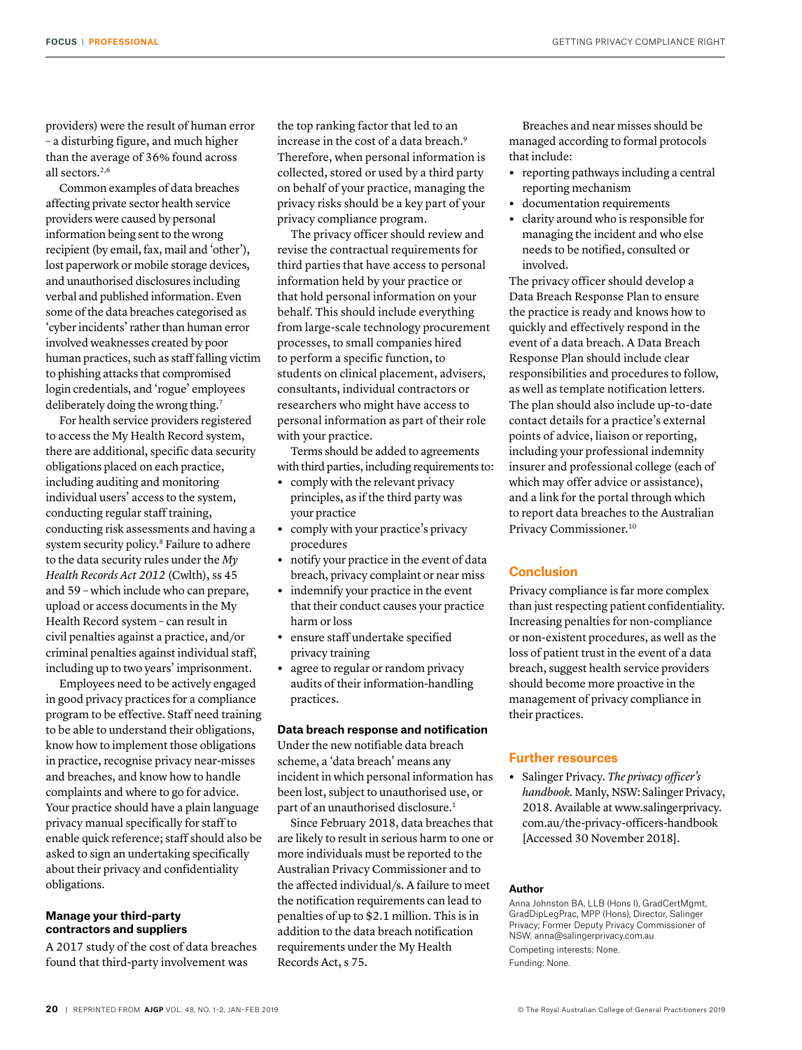providers) were the result of human error – a disturbing figure, and much higher than the average of 36% found across all sectors.2,6

Common examples of data breaches affecting private sector health service providers were caused by personal information being sent to the wrong recipient (by email, fax, mail and 'other'), lost paperwork or mobile storage devices, and unauthorised disclosures including verbal and published information. Even some of the data breaches categorised as 'cyber incidents' rather than human error involved weaknesses created by poor human practices, such as staff falling victim to phishing attacks that compromised login credentials, and 'rogue' employees deliberately doing the wrong thing.<sup>7</sup>

For health service providers registered to access the My Health Record system, there are additional, specific data security obligations placed on each practice, including auditing and monitoring individual users' access to the system, conducting regular staff training, conducting risk assessments and having a system security policy.8 Failure to adhere to the data security rules under the *My Health Records Act 2012* (Cwlth), ss 45 and 59 – which include who can prepare, upload or access documents in the My Health Record system – can result in civil penalties against a practice, and/or criminal penalties against individual staff, including up to two years' imprisonment.

Employees need to be actively engaged in good privacy practices for a compliance program to be effective. Staff need training to be able to understand their obligations, know how to implement those obligations in practice, recognise privacy near-misses and breaches, and know how to handle complaints and where to go for advice. Your practice should have a plain language privacy manual specifically for staff to enable quick reference; staff should also be asked to sign an undertaking specifically about their privacy and confidentiality obligations.

# **Manage your third-party contractors and suppliers**

A 2017 study of the cost of data breaches found that third-party involvement was

the top ranking factor that led to an increase in the cost of a data breach.9 Therefore, when personal information is collected, stored or used by a third party on behalf of your practice, managing the privacy risks should be a key part of your privacy compliance program.

The privacy officer should review and revise the contractual requirements for third parties that have access to personal information held by your practice or that hold personal information on your behalf. This should include everything from large-scale technology procurement processes, to small companies hired to perform a specific function, to students on clinical placement, advisers, consultants, individual contractors or researchers who might have access to personal information as part of their role with your practice.

Terms should be added to agreements with third parties, including requirements to:

- **•** comply with the relevant privacy principles, as if the third party was your practice
- **•** comply with your practice's privacy procedures
- **•** notify your practice in the event of data breach, privacy complaint or near miss
- **•** indemnify your practice in the event that their conduct causes your practice harm or loss
- **•** ensure staff undertake specified privacy training
- **•** agree to regular or random privacy audits of their information-handling practices.

## **Data breach response and notification**

Under the new notifiable data breach scheme, a 'data breach' means any incident in which personal information has been lost, subject to unauthorised use, or part of an unauthorised disclosure.<sup>1</sup>

Since February 2018, data breaches that are likely to result in serious harm to one or more individuals must be reported to the Australian Privacy Commissioner and to the affected individual/s. A failure to meet the notification requirements can lead to penalties of up to \$2.1 million. This is in addition to the data breach notification requirements under the My Health Records Act, s 75.

Breaches and near misses should be managed according to formal protocols that include:

- **•** reporting pathways including a central reporting mechanism
- **•** documentation requirements
- **•** clarity around who is responsible for managing the incident and who else needs to be notified, consulted or involved.

The privacy officer should develop a Data Breach Response Plan to ensure the practice is ready and knows how to quickly and effectively respond in the event of a data breach. A Data Breach Response Plan should include clear responsibilities and procedures to follow, as well as template notification letters. The plan should also include up-to-date contact details for a practice's external points of advice, liaison or reporting, including your professional indemnity insurer and professional college (each of which may offer advice or assistance), and a link for the portal through which to report data breaches to the Australian Privacy Commissioner.10

# **Conclusion**

Privacy compliance is far more complex than just respecting patient confidentiality. Increasing penalties for non-compliance or non-existent procedures, as well as the loss of patient trust in the event of a data breach, suggest health service providers should become more proactive in the management of privacy compliance in their practices.

# **Further resources**

**•** Salinger Privacy. *The privacy officer's handbook.* Manly, NSW: Salinger Privacy, 2018. Available at [www.salingerprivacy.](http://www.salingerprivacy.com.au/the-privacy-officers-handbook) [com.au/the-privacy-officers-handbook](http://www.salingerprivacy.com.au/the-privacy-officers-handbook) [Accessed 30 November 2018].

#### **Author**

Anna Johnston BA, LLB (Hons I), GradCertMgmt, GradDipLegPrac, MPP (Hons), Director, Salinger Privacy; Former Deputy Privacy Commissioner of NSW. anna@salingerprivacy.com.au Competing interests: None. Funding: None.